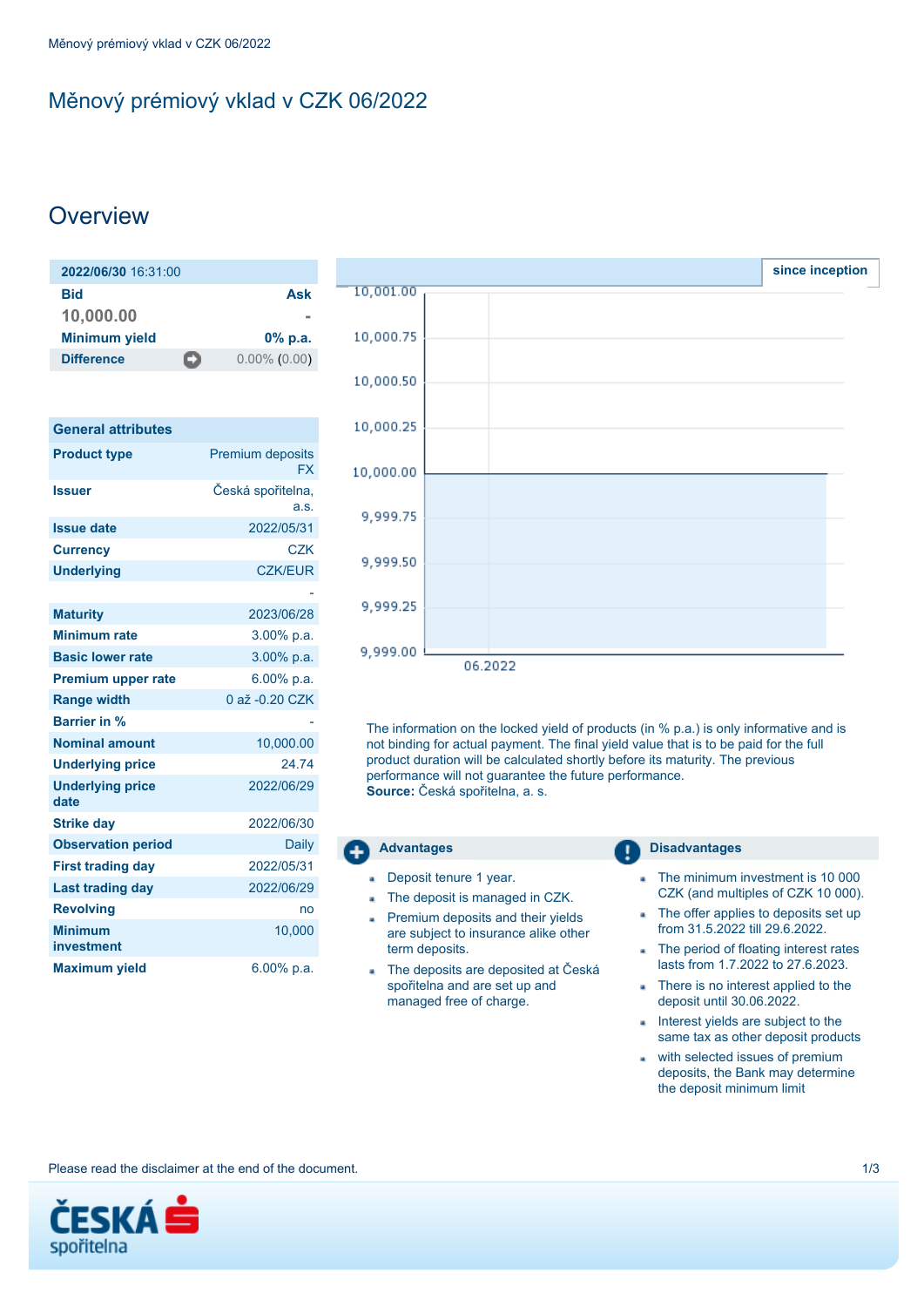# <span id="page-0-0"></span>Měnový prémiový vklad v CZK 06/2022

# **Overview**

| 2022/06/30 16:31:00     |                 |
|-------------------------|-----------------|
| Bid                     | Ask             |
| 10,000.00               |                 |
| <b>Minimum yield</b>    | $0\%$ p.a.      |
| <b>Difference</b><br>D) | $0.00\%$ (0.00) |
|                         |                 |

| <b>General attributes</b>       |                                      |
|---------------------------------|--------------------------------------|
| <b>Product type</b>             | <b>Premium deposits</b><br><b>FX</b> |
| <b>Issuer</b>                   | Česká spořitelna,<br>a.s.            |
| <b>Issue date</b>               | 2022/05/31                           |
| <b>Currency</b>                 | <b>CZK</b>                           |
| <b>Underlying</b>               | <b>CZK/EUR</b>                       |
| <b>Maturity</b>                 | 2023/06/28                           |
| <b>Minimum rate</b>             | $3.00\%$ p.a.                        |
| <b>Basic lower rate</b>         | 3.00% p.a.                           |
| <b>Premium upper rate</b>       | $6.00\%$ p.a.                        |
| <b>Range width</b>              | 0 až -0.20 CZK                       |
| <b>Barrier in %</b>             |                                      |
| <b>Nominal amount</b>           | 10,000.00                            |
| <b>Underlying price</b>         | 24.74                                |
| <b>Underlying price</b><br>date | 2022/06/29                           |
| <b>Strike day</b>               | 2022/06/30                           |
| <b>Observation period</b>       | <b>Daily</b>                         |
| <b>First trading day</b>        | 2022/05/31                           |
| <b>Last trading day</b>         | 2022/06/29                           |
| <b>Revolving</b>                | no                                   |
| <b>Minimum</b><br>investment    | 10,000                               |
| <b>Maximum yield</b>            | 6.00% p.a.                           |



The information on the locked yield of products (in % p.a.) is only informative and is not binding for actual payment. The final yield value that is to be paid for the full product duration will be calculated shortly before its maturity. The previous performance will not quarantee the future performance. **Source:** Česká spořitelna, a. s.

## **Advantages Disadvantages** Deposit tenure 1 year. The minimum investment is 10 000

- The deposit is managed in CZK.  $\mathbf{a}$
- Premium deposits and their yields are subject to insurance alike other term deposits.
- The deposits are deposited at Česká spořitelna and are set up and managed free of charge.
- CZK (and multiples of CZK 10 000).
- The offer applies to deposits set up from 31.5.2022 till 29.6.2022.
- The period of floating interest rates ä, lasts from 1.7.2022 to 27.6.2023.
- There is no interest applied to the  $\mathbf{r}$ deposit until 30.06.2022.
- Interest yields are subject to the a. same tax as other deposit products
- with selected issues of premium deposits, the Bank may determine the deposit minimum limit

Please read the disclaimer at the end of the document. 1/3

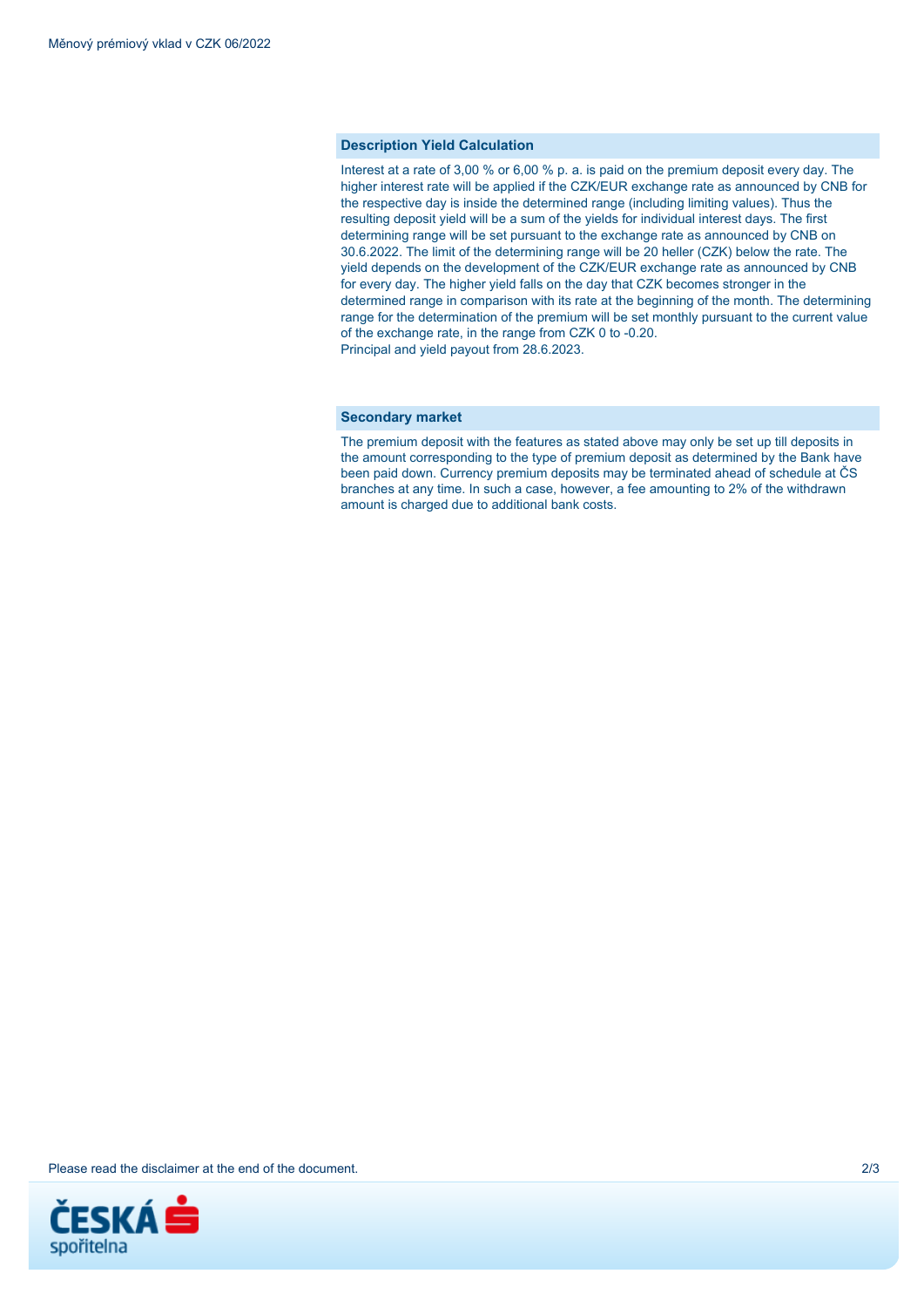### **Description Yield Calculation**

Interest at a rate of 3,00 % or 6,00 % p. a. is paid on the premium deposit every day. The higher interest rate will be applied if the CZK/EUR exchange rate as announced by CNB for the respective day is inside the determined range (including limiting values). Thus the resulting deposit yield will be a sum of the yields for individual interest days. The first determining range will be set pursuant to the exchange rate as announced by CNB on 30.6.2022. The limit of the determining range will be 20 heller (CZK) below the rate. The yield depends on the development of the CZK/EUR exchange rate as announced by CNB for every day. The higher yield falls on the day that CZK becomes stronger in the determined range in comparison with its rate at the beginning of the month. The determining range for the determination of the premium will be set monthly pursuant to the current value of the exchange rate, in the range from CZK 0 to -0.20. Principal and yield payout from 28.6.2023.

#### **Secondary market**

The premium deposit with the features as stated above may only be set up till deposits in the amount corresponding to the type of premium deposit as determined by the Bank have been paid down. Currency premium deposits may be terminated ahead of schedule at ČS branches at any time. In such a case, however, a fee amounting to 2% of the withdrawn amount is charged due to additional bank costs.

Please read the disclaimer at the end of the document. 2/3